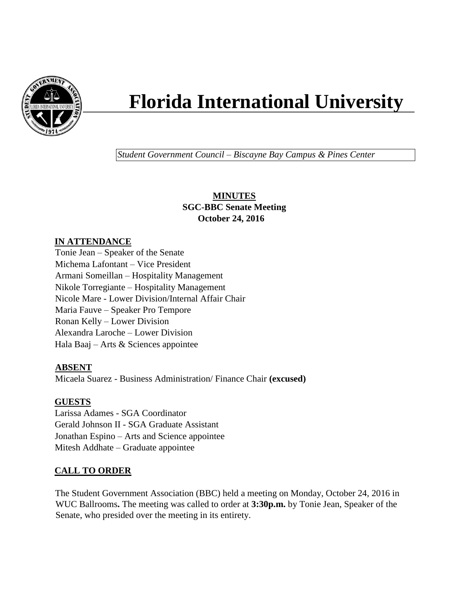

# **Florida International University**

*Student Government Council – Biscayne Bay Campus & Pines Center*

**MINUTES SGC-BBC Senate Meeting October 24, 2016**

## **IN ATTENDANCE**

Tonie Jean – Speaker of the Senate Michema Lafontant – Vice President Armani Someillan – Hospitality Management Nikole Torregiante – Hospitality Management Nicole Mare - Lower Division/Internal Affair Chair Maria Fauve – Speaker Pro Tempore Ronan Kelly – Lower Division Alexandra Laroche – Lower Division Hala Baaj – Arts & Sciences appointee

## **ABSENT**

Micaela Suarez - Business Administration/ Finance Chair **(excused)**

## **GUESTS**

Larissa Adames - SGA Coordinator Gerald Johnson II - SGA Graduate Assistant Jonathan Espino – Arts and Science appointee Mitesh Addhate – Graduate appointee

# **CALL TO ORDER**

The Student Government Association (BBC) held a meeting on Monday, October 24, 2016 in WUC Ballrooms**.** The meeting was called to order at **3:30p.m.** by Tonie Jean, Speaker of the Senate, who presided over the meeting in its entirety.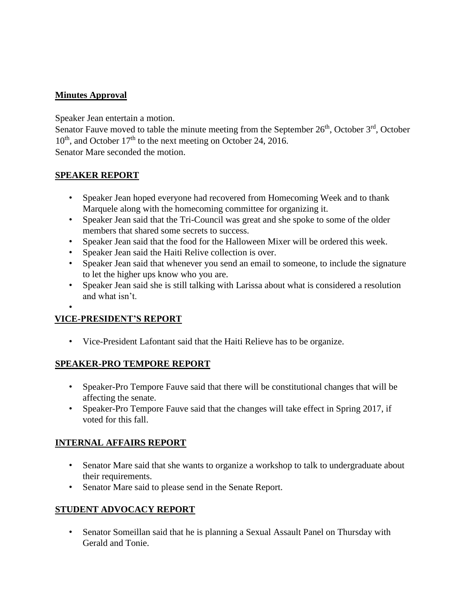## **Minutes Approval**

Speaker Jean entertain a motion.

Senator Fauve moved to table the minute meeting from the September  $26<sup>th</sup>$ , October  $3<sup>rd</sup>$ , October  $10<sup>th</sup>$ , and October 17<sup>th</sup> to the next meeting on October 24, 2016. Senator Mare seconded the motion.

## **SPEAKER REPORT**

- Speaker Jean hoped everyone had recovered from Homecoming Week and to thank Marquele along with the homecoming committee for organizing it.
- Speaker Jean said that the Tri-Council was great and she spoke to some of the older members that shared some secrets to success.
- Speaker Jean said that the food for the Halloween Mixer will be ordered this week.
- Speaker Jean said the Haiti Relive collection is over.
- Speaker Jean said that whenever you send an email to someone, to include the signature to let the higher ups know who you are.
- Speaker Jean said she is still talking with Larissa about what is considered a resolution and what isn't.
- •

# **VICE-PRESIDENT'S REPORT**

• Vice-President Lafontant said that the Haiti Relieve has to be organize.

## **SPEAKER-PRO TEMPORE REPORT**

- Speaker-Pro Tempore Fauve said that there will be constitutional changes that will be affecting the senate.
- Speaker-Pro Tempore Fauve said that the changes will take effect in Spring 2017, if voted for this fall.

## **INTERNAL AFFAIRS REPORT**

- Senator Mare said that she wants to organize a workshop to talk to undergraduate about their requirements.
- Senator Mare said to please send in the Senate Report.

## **STUDENT ADVOCACY REPORT**

• Senator Someillan said that he is planning a Sexual Assault Panel on Thursday with Gerald and Tonie.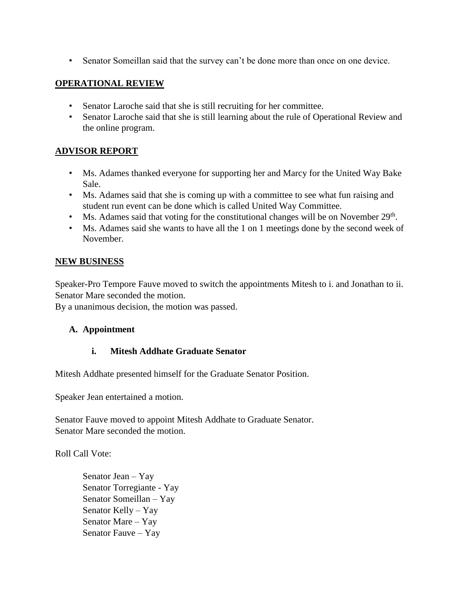• Senator Someillan said that the survey can't be done more than once on one device.

#### **OPERATIONAL REVIEW**

- Senator Laroche said that she is still recruiting for her committee.
- Senator Laroche said that she is still learning about the rule of Operational Review and the online program.

#### **ADVISOR REPORT**

- Ms. Adames thanked everyone for supporting her and Marcy for the United Way Bake Sale.
- Ms. Adames said that she is coming up with a committee to see what fun raising and student run event can be done which is called United Way Committee.
- Ms. Adames said that voting for the constitutional changes will be on November  $29<sup>th</sup>$ .
- Ms. Adames said she wants to have all the 1 on 1 meetings done by the second week of November.

#### **NEW BUSINESS**

Speaker-Pro Tempore Fauve moved to switch the appointments Mitesh to i. and Jonathan to ii. Senator Mare seconded the motion.

By a unanimous decision, the motion was passed.

#### **A. Appointment**

#### **i. Mitesh Addhate Graduate Senator**

Mitesh Addhate presented himself for the Graduate Senator Position.

Speaker Jean entertained a motion.

Senator Fauve moved to appoint Mitesh Addhate to Graduate Senator. Senator Mare seconded the motion.

Roll Call Vote:

Senator Jean – Yay Senator Torregiante - Yay Senator Someillan – Yay Senator Kelly – Yay Senator Mare – Yay Senator Fauve – Yay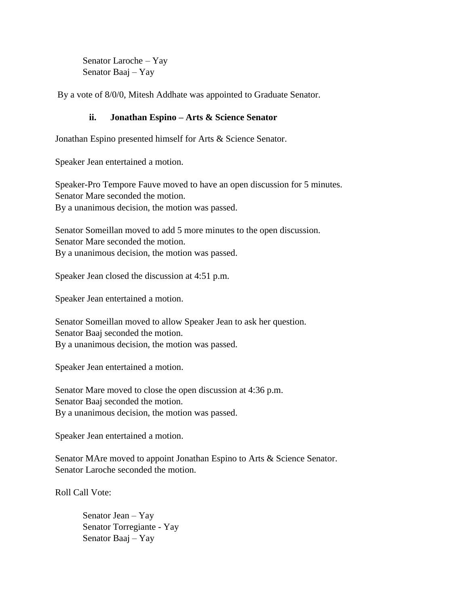Senator Laroche – Yay Senator Baaj – Yay

By a vote of 8/0/0, Mitesh Addhate was appointed to Graduate Senator.

## **ii. Jonathan Espino – Arts & Science Senator**

Jonathan Espino presented himself for Arts & Science Senator.

Speaker Jean entertained a motion.

Speaker-Pro Tempore Fauve moved to have an open discussion for 5 minutes. Senator Mare seconded the motion. By a unanimous decision, the motion was passed.

Senator Someillan moved to add 5 more minutes to the open discussion. Senator Mare seconded the motion. By a unanimous decision, the motion was passed.

Speaker Jean closed the discussion at 4:51 p.m.

Speaker Jean entertained a motion.

Senator Someillan moved to allow Speaker Jean to ask her question. Senator Baaj seconded the motion. By a unanimous decision, the motion was passed.

Speaker Jean entertained a motion.

Senator Mare moved to close the open discussion at 4:36 p.m. Senator Baaj seconded the motion. By a unanimous decision, the motion was passed.

Speaker Jean entertained a motion.

Senator MAre moved to appoint Jonathan Espino to Arts & Science Senator. Senator Laroche seconded the motion.

Roll Call Vote:

Senator Jean – Yay Senator Torregiante - Yay Senator Baaj – Yay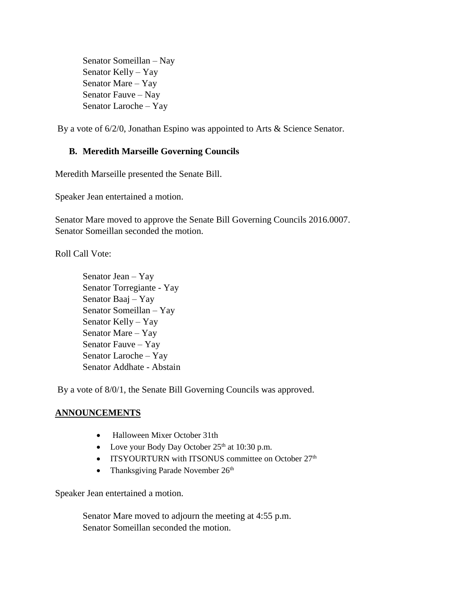Senator Someillan – Nay Senator Kelly – Yay Senator Mare – Yay Senator Fauve – Nay Senator Laroche – Yay

By a vote of 6/2/0, Jonathan Espino was appointed to Arts & Science Senator.

## **B. Meredith Marseille Governing Councils**

Meredith Marseille presented the Senate Bill.

Speaker Jean entertained a motion.

Senator Mare moved to approve the Senate Bill Governing Councils 2016.0007. Senator Someillan seconded the motion.

Roll Call Vote:

Senator Jean – Yay Senator Torregiante - Yay Senator Baaj – Yay Senator Someillan – Yay Senator Kelly – Yay Senator Mare – Yay Senator Fauve – Yay Senator Laroche – Yay Senator Addhate - Abstain

By a vote of 8/0/1, the Senate Bill Governing Councils was approved.

## **ANNOUNCEMENTS**

- Halloween Mixer October 31th
- Love your Body Day October  $25<sup>th</sup>$  at 10:30 p.m.
- ITSYOURTURN with ITSONUS committee on October  $27<sup>th</sup>$
- Thanksgiving Parade November  $26<sup>th</sup>$

Speaker Jean entertained a motion.

Senator Mare moved to adjourn the meeting at 4:55 p.m. Senator Someillan seconded the motion.